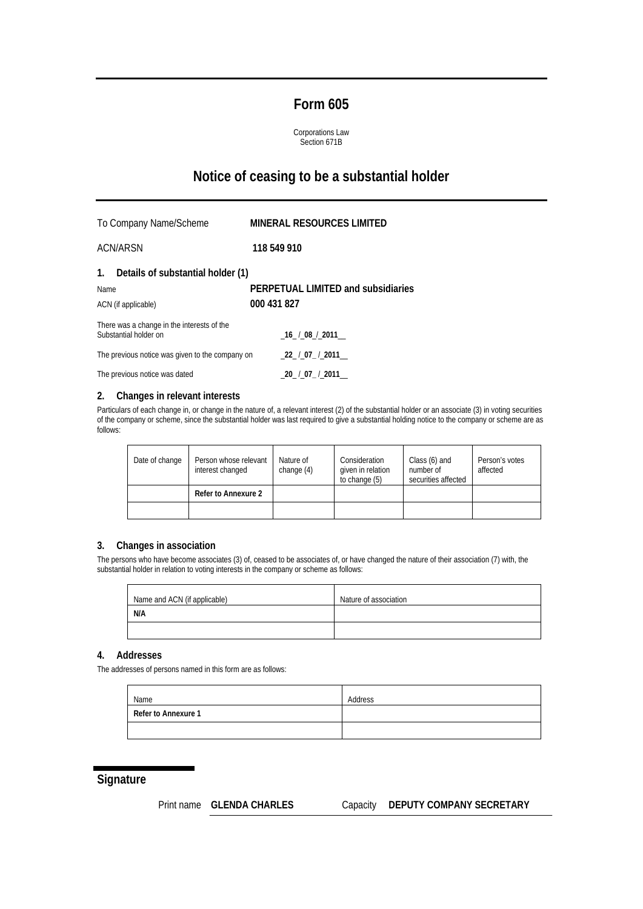### **Form 605**

Corporations Law Section 671B

# **Notice of ceasing to be a substantial holder**

To Company Name/Scheme **MINERAL RESOURCES LIMITED** ACN/ARSN **118 549 910 1. Details of substantial holder (1)**  Name **PERPETUAL LIMITED and subsidiaries**  ACN (if applicable) **000 431 827**  There was a change in the interests of the Substantial holder on \_**16**\_ /\_**08**\_/\_**2011**\_\_ The previous notice was given to the company on \_**22**\_ /\_**07\_** /\_**2011**\_\_ The previous notice was dated \_**20**\_ /\_**07\_** /\_**2011**\_\_

#### **2. Changes in relevant interests**

Particulars of each change in, or change in the nature of, a relevant interest (2) of the substantial holder or an associate (3) in voting securities of the company or scheme, since the substantial holder was last required to give a substantial holding notice to the company or scheme are as follows:

| Date of change | Person whose relevant<br>Nature of<br>change $(4)$<br>interest changed |  | Consideration<br>given in relation<br>to change (5) | Class (6) and<br>number of<br>securities affected | Person's votes<br>affected |
|----------------|------------------------------------------------------------------------|--|-----------------------------------------------------|---------------------------------------------------|----------------------------|
|                | Refer to Annexure 2                                                    |  |                                                     |                                                   |                            |
|                |                                                                        |  |                                                     |                                                   |                            |

#### **3. Changes in association**

The persons who have become associates (3) of, ceased to be associates of, or have changed the nature of their association (7) with, the substantial holder in relation to voting interests in the company or scheme as follows:

| Name and ACN (if applicable) | Nature of association |
|------------------------------|-----------------------|
| N/A                          |                       |
|                              |                       |

### **4. Addresses**

The addresses of persons named in this form are as follows:

| Name                | Address |
|---------------------|---------|
| Refer to Annexure 1 |         |
|                     |         |

### **Signature**

#### Print name **GLENDA CHARLES** Capacity **DEPUTY COMPANY SECRETARY**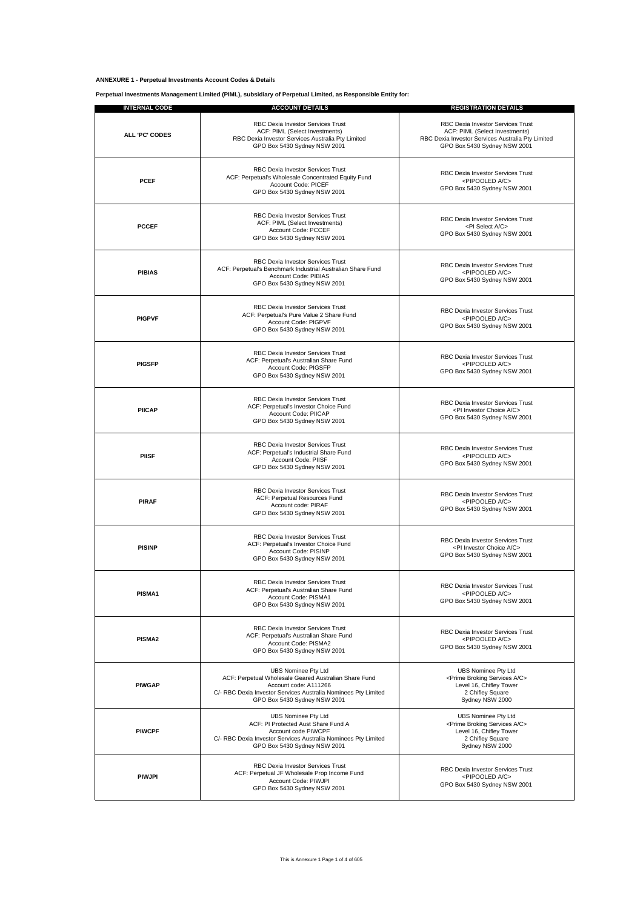#### **ANNEXURE 1 - Perpetual Investments Account Codes & Details**

**Perpetual Investments Management Limited (PIML), subsidiary of Perpetual Limited, as Responsible Entity for:**

| <b>INTERNAL CODE</b> | <b>ACCOUNT DETAILS</b>                                                                                                                                                                                  | <b>REGISTRATION DETAILS</b>                                                                                                                              |
|----------------------|---------------------------------------------------------------------------------------------------------------------------------------------------------------------------------------------------------|----------------------------------------------------------------------------------------------------------------------------------------------------------|
| ALL 'PC' CODES       | RBC Dexia Investor Services Trust<br>ACF: PIML (Select Investments)<br>RBC Dexia Investor Services Australia Pty Limited<br>GPO Box 5430 Sydney NSW 2001                                                | RBC Dexia Investor Services Trust<br>ACF: PIML (Select Investments)<br>RBC Dexia Investor Services Australia Pty Limited<br>GPO Box 5430 Sydney NSW 2001 |
| <b>PCEF</b>          | RBC Dexia Investor Services Trust<br>ACF: Perpetual's Wholesale Concentrated Equity Fund<br>Account Code: PICEF<br>GPO Box 5430 Sydney NSW 2001                                                         | RBC Dexia Investor Services Trust<br><pipooled a="" c=""><br/>GPO Box 5430 Sydney NSW 2001</pipooled>                                                    |
| <b>PCCEF</b>         | RBC Dexia Investor Services Trust<br>ACF: PIML (Select Investments)<br>Account Code: PCCEF<br>GPO Box 5430 Sydney NSW 2001                                                                              | <b>RBC Dexia Investor Services Trust</b><br><pi a="" c="" select=""><br/>GPO Box 5430 Sydney NSW 2001</pi>                                               |
| <b>PIBIAS</b>        | RBC Dexia Investor Services Trust<br>ACF: Perpetual's Benchmark Industrial Australian Share Fund<br>Account Code: PIBIAS<br>GPO Box 5430 Sydney NSW 2001                                                | RBC Dexia Investor Services Trust<br><pipooled a="" c=""><br/>GPO Box 5430 Sydney NSW 2001</pipooled>                                                    |
| <b>PIGPVF</b>        | RBC Dexia Investor Services Trust<br>ACF: Perpetual's Pure Value 2 Share Fund<br>Account Code: PIGPVF<br>GPO Box 5430 Sydney NSW 2001                                                                   | RBC Dexia Investor Services Trust<br><pipooled a="" c=""><br/>GPO Box 5430 Sydney NSW 2001</pipooled>                                                    |
| <b>PIGSFP</b>        | RBC Dexia Investor Services Trust<br>ACF: Perpetual's Australian Share Fund<br>Account Code: PIGSFP<br>GPO Box 5430 Sydney NSW 2001                                                                     | RBC Dexia Investor Services Trust<br><pipooled a="" c=""><br/>GPO Box 5430 Sydney NSW 2001</pipooled>                                                    |
| <b>PIICAP</b>        | RBC Dexia Investor Services Trust<br>ACF: Perpetual's Investor Choice Fund<br>Account Code: PIICAP<br>GPO Box 5430 Sydney NSW 2001                                                                      | RBC Dexia Investor Services Trust<br><pi a="" c="" choice="" investor=""><br/>GPO Box 5430 Sydney NSW 2001</pi>                                          |
| <b>PIISF</b>         | RBC Dexia Investor Services Trust<br>ACF: Perpetual's Industrial Share Fund<br>Account Code: PIISF<br>GPO Box 5430 Sydney NSW 2001                                                                      | RBC Dexia Investor Services Trust<br><pipooled a="" c=""><br/>GPO Box 5430 Sydney NSW 2001</pipooled>                                                    |
| <b>PIRAF</b>         | RBC Dexia Investor Services Trust<br>ACF: Perpetual Resources Fund<br>Account code: PIRAF<br>GPO Box 5430 Sydney NSW 2001                                                                               | RBC Dexia Investor Services Trust<br><pipooled a="" c=""><br/>GPO Box 5430 Sydney NSW 2001</pipooled>                                                    |
| <b>PISINP</b>        | <b>RBC Dexia Investor Services Trust</b><br>ACF: Perpetual's Investor Choice Fund<br>Account Code: PISINP<br>GPO Box 5430 Sydney NSW 2001                                                               | RBC Dexia Investor Services Trust<br><pi a="" c="" choice="" investor=""><br/>GPO Box 5430 Sydney NSW 2001</pi>                                          |
| PISMA1               | <b>RBC Dexia Investor Services Trust</b><br>ACF: Perpetual's Australian Share Fund<br>Account Code: PISMA1<br>GPO Box 5430 Sydney NSW 2001                                                              | RBC Dexia Investor Services Trust<br><pipooled a="" c=""><br/>GPO Box 5430 Sydney NSW 2001</pipooled>                                                    |
| PISMA2               | RBC Dexia Investor Services Trust<br>ACF: Perpetual's Australian Share Fund<br>Account Code: PISMA2<br>GPO Box 5430 Sydney NSW 2001                                                                     | <b>RBC Dexia Investor Services Trust</b><br><pipooled a="" c=""><br/>GPO Box 5430 Sydney NSW 2001</pipooled>                                             |
| <b>PIWGAP</b>        | UBS Nominee Pty Ltd<br>ACF: Perpetual Wholesale Geared Australian Share Fund<br>Account code: A111266<br>C/- RBC Dexia Investor Services Australia Nominees Pty Limited<br>GPO Box 5430 Sydney NSW 2001 | UBS Nominee Pty Ltd<br><prime a="" broking="" c="" services=""><br/>Level 16, Chifley Tower<br/>2 Chifley Square<br/>Sydney NSW 2000</prime>             |
| <b>PIWCPF</b>        | <b>UBS Nominee Pty Ltd</b><br>ACF: PI Protected Aust Share Fund A<br>Account code PIWCPF<br>C/- RBC Dexia Investor Services Australia Nominees Pty Limited<br>GPO Box 5430 Sydney NSW 2001              | <b>UBS Nominee Pty Ltd</b><br><prime a="" broking="" c="" services=""><br/>Level 16, Chifley Tower<br/>2 Chifley Square<br/>Sydney NSW 2000</prime>      |
| <b>PIWJPI</b>        | RBC Dexia Investor Services Trust<br>ACF: Perpetual JF Wholesale Prop Income Fund<br>Account Code: PIWJPI<br>GPO Box 5430 Sydney NSW 2001                                                               | RBC Dexia Investor Services Trust<br><pipooled a="" c=""><br/>GPO Box 5430 Sydney NSW 2001</pipooled>                                                    |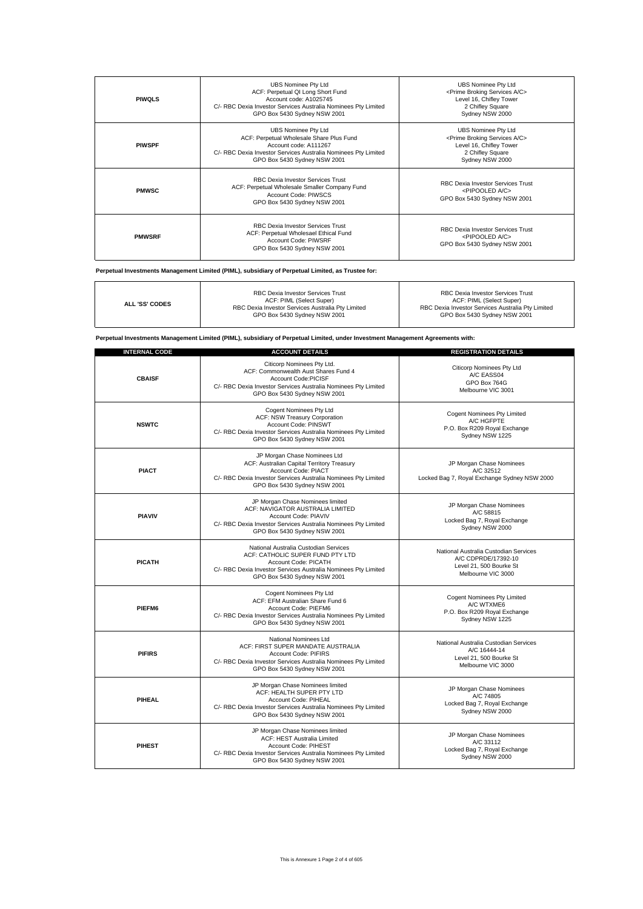| <b>PIWOLS</b> | <b>UBS Nominee Pty Ltd</b><br>ACF: Perpetual QI Long Short Fund<br>Account code: A1025745<br>C/- RBC Dexia Investor Services Australia Nominees Pty Limited<br>GPO Box 5430 Sydney NSW 2001       | UBS Nominee Pty Ltd<br><prime a="" broking="" c="" services=""><br/>Level 16, Chifley Tower<br/>2 Chifley Square<br/>Sydney NSW 2000</prime>        |
|---------------|---------------------------------------------------------------------------------------------------------------------------------------------------------------------------------------------------|-----------------------------------------------------------------------------------------------------------------------------------------------------|
| <b>PIWSPF</b> | <b>UBS Nominee Pty Ltd</b><br>ACF: Perpetual Wholesale Share Plus Fund<br>Account code: A111267<br>C/- RBC Dexia Investor Services Australia Nominees Pty Limited<br>GPO Box 5430 Sydney NSW 2001 | <b>UBS Nominee Pty Ltd</b><br><prime a="" broking="" c="" services=""><br/>Level 16, Chifley Tower<br/>2 Chifley Square<br/>Sydney NSW 2000</prime> |
| <b>PMWSC</b>  | RBC Dexia Investor Services Trust<br>ACF: Perpetual Wholesale Smaller Company Fund<br>Account Code: PIWSCS<br>GPO Box 5430 Sydney NSW 2001                                                        | RBC Dexia Investor Services Trust<br><pipooled a="" c=""><br/>GPO Box 5430 Sydney NSW 2001</pipooled>                                               |
| <b>PMWSRF</b> | RBC Dexia Investor Services Trust<br>ACF: Perpetual Wholesael Ethical Fund<br>Account Code: PIWSRF<br>GPO Box 5430 Sydney NSW 2001                                                                | <b>RBC Dexia Investor Services Trust</b><br><pipooled a="" c=""><br/>GPO Box 5430 Sydney NSW 2001</pipooled>                                        |

**Perpetual Investments Management Limited (PIML), subsidiary of Perpetual Limited, as Trustee for:**

٦

 $\mathbf{r}$ 

| <b>ALL 'SS' CODES</b> | <b>RBC Dexia Investor Services Trust</b><br>ACF: PIML (Select Super)<br>RBC Dexia Investor Services Australia Pty Limited<br>GPO Box 5430 Sydney NSW 2001 | <b>RBC Dexia Investor Services Trust</b><br>ACF: PIML (Select Super)<br>RBC Dexia Investor Services Australia Pty Limited<br>GPO Box 5430 Sydney NSW 2001 |
|-----------------------|-----------------------------------------------------------------------------------------------------------------------------------------------------------|-----------------------------------------------------------------------------------------------------------------------------------------------------------|
|-----------------------|-----------------------------------------------------------------------------------------------------------------------------------------------------------|-----------------------------------------------------------------------------------------------------------------------------------------------------------|

**Perpetual Investments Management Limited (PIML), subsidiary of Perpetual Limited, under Investment Management Agreements with:**

| <b>INTERNAL CODE</b> | <b>ACCOUNT DETAILS</b>                                                                                                                                                                              | <b>REGISTRATION DETAILS</b>                                                                                   |
|----------------------|-----------------------------------------------------------------------------------------------------------------------------------------------------------------------------------------------------|---------------------------------------------------------------------------------------------------------------|
| <b>CBAISF</b>        | Citicorp Nominees Pty Ltd.<br>ACF: Commonwealth Aust Shares Fund 4<br><b>Account Code:PICISE</b><br>C/- RBC Dexia Investor Services Australia Nominees Pty Limited<br>GPO Box 5430 Sydney NSW 2001  | <b>Citicorp Nominees Pty Ltd</b><br>A/C EASS04<br>GPO Box 764G<br>Melbourne VIC 3001                          |
| <b>NSWTC</b>         | Cogent Nominees Pty Ltd<br>ACF: NSW Treasury Corporation<br>Account Code: PINSWT<br>C/- RBC Dexia Investor Services Australia Nominees Pty Limited<br>GPO Box 5430 Sydney NSW 2001                  | Cogent Nominees Pty Limited<br>A/C HGFPTE<br>P.O. Box R209 Royal Exchange<br>Sydney NSW 1225                  |
| <b>PIACT</b>         | JP Morgan Chase Nominees Ltd<br>ACF: Australian Capital Territory Treasury<br>Account Code: PIACT<br>C/- RBC Dexia Investor Services Australia Nominees Pty Limited<br>GPO Box 5430 Sydney NSW 2001 | JP Morgan Chase Nominees<br>A/C 32512<br>Locked Bag 7, Royal Exchange Sydney NSW 2000                         |
| <b>PIAVIV</b>        | JP Morgan Chase Nominees limited<br>ACF: NAVIGATOR AUSTRALIA LIMITED<br>Account Code: PIAVIV<br>C/- RBC Dexia Investor Services Australia Nominees Pty Limited<br>GPO Box 5430 Sydney NSW 2001      | JP Morgan Chase Nominees<br>A/C 58815<br>Locked Bag 7, Royal Exchange<br>Sydney NSW 2000                      |
| <b>PICATH</b>        | National Australia Custodian Services<br>ACF: CATHOLIC SUPER FUND PTY LTD<br>Account Code: PICATH<br>C/- RBC Dexia Investor Services Australia Nominees Pty Limited<br>GPO Box 5430 Sydney NSW 2001 | National Australia Custodian Services<br>A/C CDPRDE/17392-10<br>Level 21, 500 Bourke St<br>Melbourne VIC 3000 |
| PIEFM6               | Cogent Nominees Pty Ltd<br>ACF: EFM Australian Share Fund 6<br>Account Code: PIEFM6<br>C/- RBC Dexia Investor Services Australia Nominees Pty Limited<br>GPO Box 5430 Sydney NSW 2001               | Cogent Nominees Pty Limited<br>A/C WTXME6<br>P.O. Box R209 Royal Exchange<br>Sydney NSW 1225                  |
| <b>PIFIRS</b>        | National Nominees Ltd<br>ACF: FIRST SUPER MANDATE AUSTRALIA<br>Account Code: PIFIRS<br>C/- RBC Dexia Investor Services Australia Nominees Pty Limited<br>GPO Box 5430 Sydney NSW 2001               | National Australia Custodian Services<br>A/C 16444-14<br>Level 21, 500 Bourke St<br>Melbourne VIC 3000        |
| PIHEAL               | JP Morgan Chase Nominees limited<br>ACF: HEALTH SUPER PTY LTD<br>Account Code: PIHEAL<br>C/- RBC Dexia Investor Services Australia Nominees Pty Limited<br>GPO Box 5430 Sydney NSW 2001             | JP Morgan Chase Nominees<br>A/C 74805<br>Locked Bag 7, Royal Exchange<br>Sydney NSW 2000                      |
| <b>PIHEST</b>        | JP Morgan Chase Nominees limited<br>ACF: HEST Australia Limited<br>Account Code: PIHEST<br>C/- RBC Dexia Investor Services Australia Nominees Pty Limited<br>GPO Box 5430 Sydney NSW 2001           | JP Morgan Chase Nominees<br>A/C 33112<br>Locked Bag 7, Royal Exchange<br>Sydney NSW 2000                      |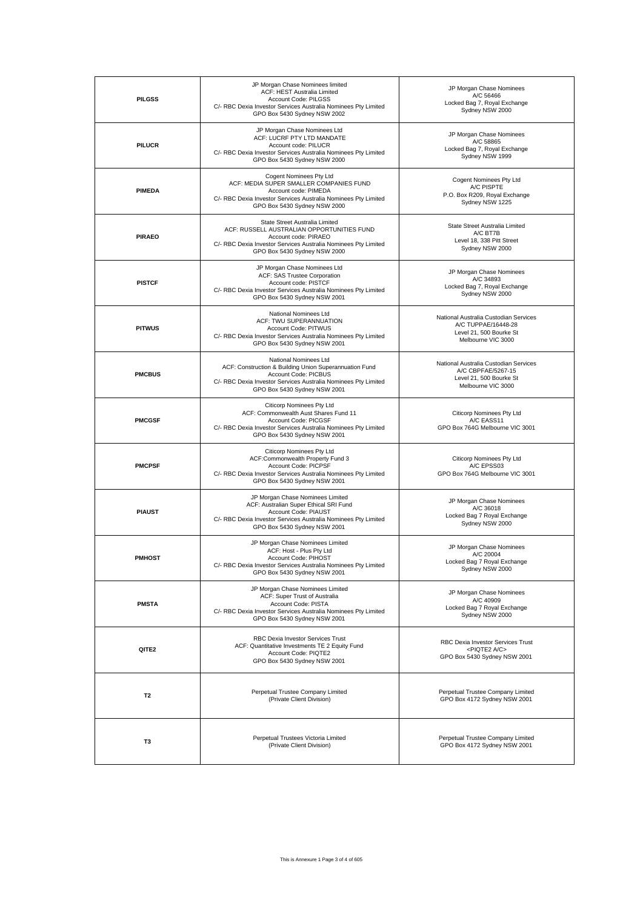| <b>PILGSS</b>  | JP Morgan Chase Nominees limited<br>ACF: HEST Australia Limited<br>Account Code: PILGSS<br>C/- RBC Dexia Investor Services Australia Nominees Pty Limited<br>GPO Box 5430 Sydney NSW 2002                 | JP Morgan Chase Nominees<br>A/C 56466<br>Locked Bag 7, Royal Exchange<br>Sydney NSW 2000                      |
|----------------|-----------------------------------------------------------------------------------------------------------------------------------------------------------------------------------------------------------|---------------------------------------------------------------------------------------------------------------|
| <b>PILUCR</b>  | JP Morgan Chase Nominees Ltd<br>ACF: LUCRF PTY LTD MANDATE<br>Account code: PILUCR<br>C/- RBC Dexia Investor Services Australia Nominees Pty Limited<br>GPO Box 5430 Sydney NSW 2000                      | JP Morgan Chase Nominees<br>A/C 58865<br>Locked Bag 7, Royal Exchange<br>Sydney NSW 1999                      |
| <b>PIMEDA</b>  | Cogent Nominees Pty Ltd<br>ACF: MEDIA SUPER SMALLER COMPANIES FUND<br>Account code: PIMEDA<br>C/- RBC Dexia Investor Services Australia Nominees Pty Limited<br>GPO Box 5430 Sydney NSW 2000              | Cogent Nominees Pty Ltd<br>A/C PISPTE<br>P.O. Box R209, Royal Exchange<br>Sydney NSW 1225                     |
| <b>PIRAEO</b>  | State Street Australia Limited<br>ACF: RUSSELL AUSTRALIAN OPPORTUNITIES FUND<br>Account code: PIRAEO<br>C/- RBC Dexia Investor Services Australia Nominees Pty Limited<br>GPO Box 5430 Sydney NSW 2000    | State Street Australia Limited<br>A/C BT7B<br>Level 18, 338 Pitt Street<br>Sydney NSW 2000                    |
| <b>PISTCF</b>  | JP Morgan Chase Nominees Ltd<br>ACF: SAS Trustee Corporation<br>Account code: PISTCF<br>C/- RBC Dexia Investor Services Australia Nominees Pty Limited<br>GPO Box 5430 Sydney NSW 2001                    | JP Morgan Chase Nominees<br>A/C 34893<br>Locked Bag 7, Royal Exchange<br>Sydney NSW 2000                      |
| <b>PITWUS</b>  | National Nominees Ltd<br>ACF: TWU SUPERANNUATION<br>Account Code: PITWUS<br>C/- RBC Dexia Investor Services Australia Nominees Pty Limited<br>GPO Box 5430 Sydney NSW 2001                                | National Australia Custodian Services<br>A/C TUPPAE/16448-28<br>Level 21, 500 Bourke St<br>Melbourne VIC 3000 |
| <b>PMCBUS</b>  | National Nominees Ltd<br>ACF: Construction & Building Union Superannuation Fund<br>Account Code: PICBUS<br>C/- RBC Dexia Investor Services Australia Nominees Pty Limited<br>GPO Box 5430 Sydney NSW 2001 | National Australia Custodian Services<br>A/C CBPFAE/5267-15<br>Level 21, 500 Bourke St<br>Melbourne VIC 3000  |
| <b>PMCGSF</b>  | <b>Citicorp Nominees Pty Ltd</b><br>ACF: Commonwealth Aust Shares Fund 11<br>Account Code: PICGSF<br>C/- RBC Dexia Investor Services Australia Nominees Pty Limited<br>GPO Box 5430 Sydney NSW 2001       | Citicorp Nominees Pty Ltd<br>A/C EASS11<br>GPO Box 764G Melbourne VIC 3001                                    |
| <b>PMCPSF</b>  | Citicorp Nominees Pty Ltd<br>ACF:Commonwealth Property Fund 3<br>Account Code: PICPSF<br>C/- RBC Dexia Investor Services Australia Nominees Pty Limited<br>GPO Box 5430 Sydney NSW 2001                   | Citicorp Nominees Pty Ltd<br>A/C EPSS03<br>GPO Box 764G Melbourne VIC 3001                                    |
| <b>PIAUST</b>  | JP Morgan Chase Nominees Limited<br>ACF: Australian Super Ethical SRI Fund<br>Account Code: PIAUST<br>C/- RBC Dexia Investor Services Australia Nominees Pty Limited<br>GPO Box 5430 Sydney NSW 2001      | JP Morgan Chase Nominees<br>A/C 36018<br>Locked Bag 7 Royal Exchange<br>Sydney NSW 2000                       |
| <b>PMHOST</b>  | JP Morgan Chase Nominees Limited<br>ACF: Host - Plus Pty Ltd<br>Account Code: PIHOST<br>C/- RBC Dexia Investor Services Australia Nominees Pty Limited<br>GPO Box 5430 Sydney NSW 2001                    | JP Morgan Chase Nominees<br>A/C 20004<br>Locked Bag 7 Royal Exchange<br>Sydney NSW 2000                       |
| <b>PMSTA</b>   | JP Morgan Chase Nominees Limited<br>ACF: Super Trust of Australia<br>Account Code: PISTA<br>C/- RBC Dexia Investor Services Australia Nominees Pty Limited<br>GPO Box 5430 Sydney NSW 2001                | JP Morgan Chase Nominees<br>A/C 40909<br>Locked Bag 7 Royal Exchange<br>Sydney NSW 2000                       |
| QITE2          | <b>RBC Dexia Investor Services Trust</b><br>ACF: Quantitative Investments TE 2 Equity Fund<br>Account Code: PIQTE2<br>GPO Box 5430 Sydney NSW 2001                                                        | RBC Dexia Investor Services Trust<br><piqte2 a="" c=""><br/>GPO Box 5430 Sydney NSW 2001</piqte2>             |
| T2             | Perpetual Trustee Company Limited<br>(Private Client Division)                                                                                                                                            | Perpetual Trustee Company Limited<br>GPO Box 4172 Sydney NSW 2001                                             |
| T <sub>3</sub> | Perpetual Trustees Victoria Limited<br>(Private Client Division)                                                                                                                                          | Perpetual Trustee Company Limited<br>GPO Box 4172 Sydney NSW 2001                                             |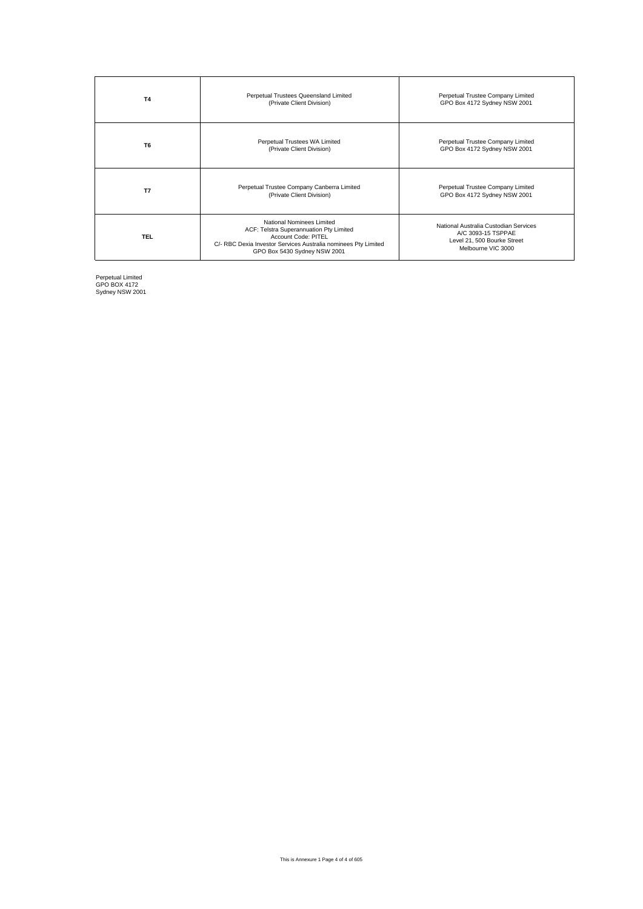| <b>T4</b>      | Perpetual Trustees Queensland Limited<br>(Private Client Division)                                                                                                                            | Perpetual Trustee Company Limited<br>GPO Box 4172 Sydney NSW 2001                                                |
|----------------|-----------------------------------------------------------------------------------------------------------------------------------------------------------------------------------------------|------------------------------------------------------------------------------------------------------------------|
| T <sub>6</sub> | Perpetual Trustees WA Limited<br>(Private Client Division)                                                                                                                                    | Perpetual Trustee Company Limited<br>GPO Box 4172 Sydney NSW 2001                                                |
| T7             | Perpetual Trustee Company Canberra Limited<br>(Private Client Division)                                                                                                                       | Perpetual Trustee Company Limited<br>GPO Box 4172 Sydney NSW 2001                                                |
| <b>TEL</b>     | National Nominees Limited<br>ACF: Telstra Superannuation Pty Limited<br>Account Code: PITEL<br>C/- RBC Dexia Investor Services Australia nominees Pty Limited<br>GPO Box 5430 Sydney NSW 2001 | National Australia Custodian Services<br>A/C 3093-15 TSPPAE<br>Level 21, 500 Bourke Street<br>Melbourne VIC 3000 |

Perpetual Limited GPO BOX 4172 Sydney NSW 2001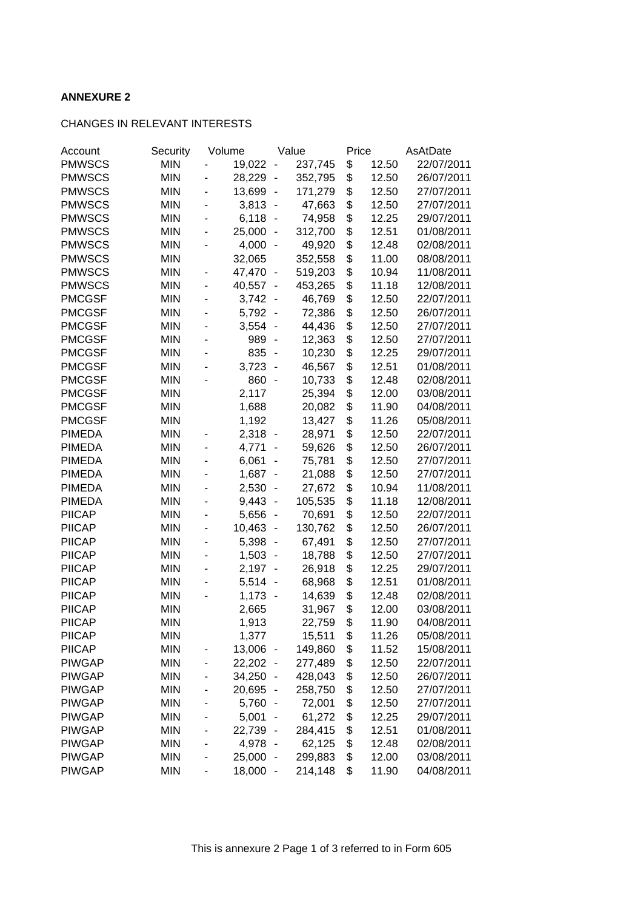## **ANNEXURE 2**

### CHANGES IN RELEVANT INTERESTS

| Account       | Security   |                          | Volume |                              | Value   | Price |       | AsAtDate   |
|---------------|------------|--------------------------|--------|------------------------------|---------|-------|-------|------------|
| <b>PMWSCS</b> | <b>MIN</b> |                          | 19,022 | $\overline{\phantom{0}}$     | 237,745 | \$    | 12.50 | 22/07/2011 |
| <b>PMWSCS</b> | <b>MIN</b> |                          | 28,229 | $\qquad \qquad \blacksquare$ | 352,795 | \$    | 12.50 | 26/07/2011 |
| <b>PMWSCS</b> | <b>MIN</b> |                          | 13,699 | $\qquad \qquad \blacksquare$ | 171,279 | \$    | 12.50 | 27/07/2011 |
| <b>PMWSCS</b> | <b>MIN</b> | ٠                        | 3,813  | $\blacksquare$               | 47,663  | \$    | 12.50 | 27/07/2011 |
| <b>PMWSCS</b> | <b>MIN</b> | $\overline{\phantom{0}}$ | 6,118  | $\overline{a}$               | 74,958  | \$    | 12.25 | 29/07/2011 |
| <b>PMWSCS</b> | <b>MIN</b> | $\overline{\phantom{0}}$ | 25,000 | $\overline{\phantom{a}}$     | 312,700 | \$    | 12.51 | 01/08/2011 |
| <b>PMWSCS</b> | <b>MIN</b> |                          | 4,000  | $\blacksquare$               | 49,920  | \$    | 12.48 | 02/08/2011 |
| <b>PMWSCS</b> | <b>MIN</b> |                          | 32,065 |                              | 352,558 | \$    | 11.00 | 08/08/2011 |
| <b>PMWSCS</b> | <b>MIN</b> |                          | 47,470 | $\overline{\phantom{a}}$     | 519,203 | \$    | 10.94 | 11/08/2011 |
| <b>PMWSCS</b> | <b>MIN</b> |                          | 40,557 | $\overline{\phantom{a}}$     | 453,265 | \$    | 11.18 | 12/08/2011 |
| <b>PMCGSF</b> | <b>MIN</b> |                          | 3,742  | $\overline{\phantom{a}}$     | 46,769  | \$    | 12.50 | 22/07/2011 |
| <b>PMCGSF</b> | <b>MIN</b> |                          | 5,792  | $\overline{\phantom{a}}$     | 72,386  | \$    | 12.50 | 26/07/2011 |
| <b>PMCGSF</b> | <b>MIN</b> |                          | 3,554  | $\overline{a}$               | 44,436  | \$    | 12.50 | 27/07/2011 |
| <b>PMCGSF</b> | <b>MIN</b> |                          | 989    | $\overline{a}$               | 12,363  | \$    | 12.50 | 27/07/2011 |
| <b>PMCGSF</b> | <b>MIN</b> |                          | 835    | $\overline{\phantom{a}}$     | 10,230  | \$    | 12.25 | 29/07/2011 |
| <b>PMCGSF</b> | <b>MIN</b> |                          | 3,723  | $\overline{a}$               | 46,567  | \$    | 12.51 | 01/08/2011 |
| <b>PMCGSF</b> | <b>MIN</b> |                          | 860    | $\overline{a}$               | 10,733  | \$    | 12.48 | 02/08/2011 |
| <b>PMCGSF</b> | <b>MIN</b> |                          | 2,117  |                              | 25,394  | \$    | 12.00 | 03/08/2011 |
| <b>PMCGSF</b> | <b>MIN</b> |                          | 1,688  |                              | 20,082  | \$    | 11.90 | 04/08/2011 |
| <b>PMCGSF</b> | <b>MIN</b> |                          | 1,192  |                              | 13,427  | \$    | 11.26 | 05/08/2011 |
| <b>PIMEDA</b> | <b>MIN</b> |                          | 2,318  | $\overline{\phantom{a}}$     | 28,971  | \$    | 12.50 | 22/07/2011 |
| <b>PIMEDA</b> | <b>MIN</b> |                          | 4,771  | -                            | 59,626  | \$    | 12.50 | 26/07/2011 |
| <b>PIMEDA</b> | <b>MIN</b> |                          | 6,061  | -                            | 75,781  | \$    | 12.50 | 27/07/2011 |
| <b>PIMEDA</b> | <b>MIN</b> |                          | 1,687  | $\overline{\phantom{a}}$     | 21,088  | \$    | 12.50 | 27/07/2011 |
| <b>PIMEDA</b> | <b>MIN</b> |                          | 2,530  | $\overline{a}$               | 27,672  | \$    | 10.94 | 11/08/2011 |
| <b>PIMEDA</b> | <b>MIN</b> |                          | 9,443  | $\overline{a}$               | 105,535 | \$    | 11.18 | 12/08/2011 |
| <b>PIICAP</b> | <b>MIN</b> |                          | 5,656  | $\overline{a}$               | 70,691  | \$    | 12.50 | 22/07/2011 |
| <b>PIICAP</b> | <b>MIN</b> |                          | 10,463 | $\qquad \qquad \blacksquare$ | 130,762 | \$    | 12.50 | 26/07/2011 |
| <b>PIICAP</b> | <b>MIN</b> | $\overline{a}$           | 5,398  | $\qquad \qquad \blacksquare$ | 67,491  | \$    | 12.50 | 27/07/2011 |
| <b>PIICAP</b> | <b>MIN</b> |                          | 1,503  | $\overline{a}$               | 18,788  | \$    | 12.50 | 27/07/2011 |
| <b>PIICAP</b> | <b>MIN</b> | $\overline{\phantom{0}}$ | 2,197  | $\blacksquare$               | 26,918  | \$    | 12.25 | 29/07/2011 |
| <b>PIICAP</b> | <b>MIN</b> |                          | 5,514  | $\blacksquare$               | 68,968  | \$    | 12.51 | 01/08/2011 |
| <b>PIICAP</b> | <b>MIN</b> |                          | 1,173  | $\sim$                       | 14,639  | \$    | 12.48 | 02/08/2011 |
| <b>PIICAP</b> | <b>MIN</b> |                          | 2,665  |                              | 31,967  | \$    | 12.00 | 03/08/2011 |
| <b>PIICAP</b> | <b>MIN</b> |                          | 1,913  |                              | 22,759  | \$    | 11.90 | 04/08/2011 |
| <b>PIICAP</b> | <b>MIN</b> |                          | 1,377  |                              | 15,511  | \$    | 11.26 | 05/08/2011 |
| <b>PIICAP</b> | <b>MIN</b> | -                        | 13,006 | $\overline{\phantom{a}}$     | 149,860 | \$    | 11.52 | 15/08/2011 |
| <b>PIWGAP</b> | <b>MIN</b> |                          | 22,202 | $\overline{\phantom{a}}$     | 277,489 | \$    | 12.50 | 22/07/2011 |
| <b>PIWGAP</b> | <b>MIN</b> |                          | 34,250 | $\blacksquare$               | 428,043 | \$    | 12.50 | 26/07/2011 |
| <b>PIWGAP</b> | <b>MIN</b> |                          | 20,695 | $\qquad \qquad \blacksquare$ | 258,750 | \$    | 12.50 | 27/07/2011 |
| <b>PIWGAP</b> | <b>MIN</b> |                          | 5,760  | $\qquad \qquad \blacksquare$ | 72,001  | \$    | 12.50 | 27/07/2011 |
| <b>PIWGAP</b> | <b>MIN</b> |                          | 5,001  | -                            | 61,272  | \$    | 12.25 | 29/07/2011 |
| <b>PIWGAP</b> | <b>MIN</b> | -                        | 22,739 | $\overline{\phantom{a}}$     | 284,415 | \$    | 12.51 | 01/08/2011 |
| <b>PIWGAP</b> | <b>MIN</b> |                          | 4,978  | $\overline{\phantom{a}}$     | 62,125  | \$    | 12.48 | 02/08/2011 |
| <b>PIWGAP</b> | <b>MIN</b> | $\overline{\phantom{0}}$ | 25,000 | $\overline{\phantom{a}}$     | 299,883 | \$    | 12.00 | 03/08/2011 |
| <b>PIWGAP</b> | <b>MIN</b> | $\overline{\phantom{a}}$ | 18,000 | $\overline{\phantom{a}}$     | 214,148 | \$    | 11.90 | 04/08/2011 |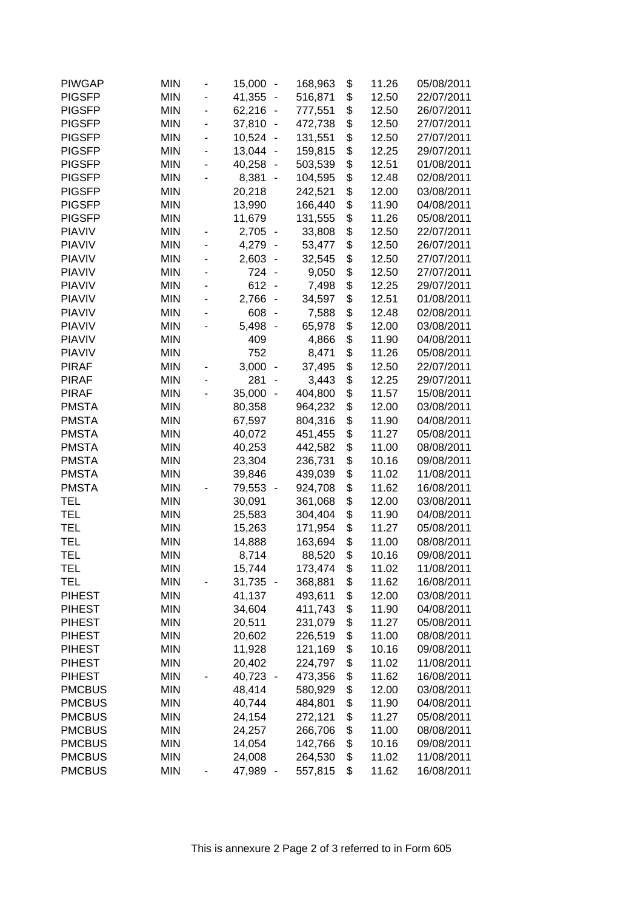| <b>PIWGAP</b> | <b>MIN</b> |                              | 15,000<br>$\overline{\phantom{a}}$ | 168,963 | \$<br>11.26 | 05/08/2011 |
|---------------|------------|------------------------------|------------------------------------|---------|-------------|------------|
| <b>PIGSFP</b> | <b>MIN</b> |                              | 41,355<br>$\overline{a}$           | 516,871 | \$<br>12.50 | 22/07/2011 |
| <b>PIGSFP</b> | <b>MIN</b> |                              | 62,216<br>$\overline{a}$           | 777,551 | \$<br>12.50 | 26/07/2011 |
| <b>PIGSFP</b> | <b>MIN</b> | $\overline{\phantom{0}}$     | 37,810<br>$\overline{\phantom{a}}$ | 472,738 | \$<br>12.50 | 27/07/2011 |
| <b>PIGSFP</b> | <b>MIN</b> | $\qquad \qquad \blacksquare$ | 10,524<br>$\overline{\phantom{a}}$ | 131,551 | \$<br>12.50 | 27/07/2011 |
| <b>PIGSFP</b> | <b>MIN</b> | ÷,                           | 13,044<br>$\overline{\phantom{a}}$ | 159,815 | \$<br>12.25 | 29/07/2011 |
| <b>PIGSFP</b> | <b>MIN</b> | ÷,                           | 40,258<br>$\overline{\phantom{a}}$ | 503,539 | \$<br>12.51 | 01/08/2011 |
| <b>PIGSFP</b> | <b>MIN</b> |                              | 8,381<br>$\overline{\phantom{a}}$  | 104,595 | \$<br>12.48 | 02/08/2011 |
| <b>PIGSFP</b> | <b>MIN</b> |                              | 20,218                             | 242,521 | \$<br>12.00 | 03/08/2011 |
| <b>PIGSFP</b> | <b>MIN</b> |                              | 13,990                             | 166,440 | \$<br>11.90 | 04/08/2011 |
| <b>PIGSFP</b> | <b>MIN</b> |                              | 11,679                             | 131,555 | \$<br>11.26 | 05/08/2011 |
| <b>PIAVIV</b> | <b>MIN</b> |                              | 2,705<br>$\sim$                    | 33,808  | \$<br>12.50 | 22/07/2011 |
| <b>PIAVIV</b> | <b>MIN</b> |                              | 4,279<br>$\overline{\phantom{a}}$  | 53,477  | \$<br>12.50 | 26/07/2011 |
| <b>PIAVIV</b> | <b>MIN</b> |                              | 2,603                              | 32,545  | \$<br>12.50 | 27/07/2011 |
| <b>PIAVIV</b> | <b>MIN</b> |                              | 724<br>$\overline{a}$              | 9,050   | \$<br>12.50 | 27/07/2011 |
| <b>PIAVIV</b> | <b>MIN</b> |                              | 612<br>$\overline{a}$              | 7,498   | \$<br>12.25 | 29/07/2011 |
| <b>PIAVIV</b> | <b>MIN</b> |                              | 2,766<br>$\overline{\phantom{a}}$  | 34,597  | \$<br>12.51 | 01/08/2011 |
| <b>PIAVIV</b> | <b>MIN</b> |                              | 608<br>$\overline{\phantom{a}}$    | 7,588   | \$<br>12.48 | 02/08/2011 |
| <b>PIAVIV</b> | <b>MIN</b> |                              | 5,498<br>$\overline{\phantom{a}}$  | 65,978  | \$<br>12.00 | 03/08/2011 |
| <b>PIAVIV</b> | <b>MIN</b> |                              | 409                                | 4,866   | \$<br>11.90 | 04/08/2011 |
| <b>PIAVIV</b> | <b>MIN</b> |                              | 752                                | 8,471   | \$<br>11.26 | 05/08/2011 |
| <b>PIRAF</b>  | <b>MIN</b> |                              | 3,000<br>$\overline{\phantom{a}}$  | 37,495  | \$<br>12.50 | 22/07/2011 |
| <b>PIRAF</b>  | <b>MIN</b> |                              | 281                                | 3,443   | \$<br>12.25 | 29/07/2011 |
| <b>PIRAF</b>  | <b>MIN</b> |                              | 35,000                             | 404,800 | \$<br>11.57 | 15/08/2011 |
| <b>PMSTA</b>  | <b>MIN</b> |                              | 80,358                             | 964,232 | \$<br>12.00 | 03/08/2011 |
| <b>PMSTA</b>  | <b>MIN</b> |                              | 67,597                             | 804,316 | \$<br>11.90 | 04/08/2011 |
| <b>PMSTA</b>  | <b>MIN</b> |                              | 40,072                             | 451,455 | \$<br>11.27 | 05/08/2011 |
| <b>PMSTA</b>  | <b>MIN</b> |                              | 40,253                             | 442,582 | \$<br>11.00 | 08/08/2011 |
| <b>PMSTA</b>  | <b>MIN</b> |                              | 23,304                             | 236,731 | \$<br>10.16 | 09/08/2011 |
| <b>PMSTA</b>  | <b>MIN</b> |                              | 39,846                             | 439,039 | \$<br>11.02 | 11/08/2011 |
| <b>PMSTA</b>  | <b>MIN</b> |                              | 79,553<br>$\overline{\phantom{a}}$ | 924,708 | \$<br>11.62 | 16/08/2011 |
| <b>TEL</b>    | <b>MIN</b> |                              | 30,091                             | 361,068 | \$<br>12.00 | 03/08/2011 |
| <b>TEL</b>    | <b>MIN</b> |                              | 25,583                             | 304,404 | \$<br>11.90 | 04/08/2011 |
| <b>TEL</b>    | <b>MIN</b> |                              | 15,263                             | 171,954 | \$<br>11.27 | 05/08/2011 |
| <b>TEL</b>    | <b>MIN</b> |                              | 14,888                             | 163,694 | \$<br>11.00 | 08/08/2011 |
| <b>TEL</b>    | <b>MIN</b> |                              | 8,714                              | 88,520  | \$<br>10.16 | 09/08/2011 |
| TEL           | <b>MIN</b> |                              | 15,744                             | 173,474 | \$<br>11.02 | 11/08/2011 |
| <b>TEL</b>    | <b>MIN</b> |                              | 31,735 -                           | 368,881 | \$<br>11.62 | 16/08/2011 |
| <b>PIHEST</b> | <b>MIN</b> |                              | 41,137                             | 493,611 | \$<br>12.00 | 03/08/2011 |
| <b>PIHEST</b> | <b>MIN</b> |                              | 34,604                             | 411,743 | \$<br>11.90 | 04/08/2011 |
| <b>PIHEST</b> | <b>MIN</b> |                              | 20,511                             | 231,079 | \$<br>11.27 | 05/08/2011 |
| <b>PIHEST</b> | <b>MIN</b> |                              | 20,602                             | 226,519 | \$<br>11.00 | 08/08/2011 |
| <b>PIHEST</b> | <b>MIN</b> |                              | 11,928                             | 121,169 | \$<br>10.16 | 09/08/2011 |
| <b>PIHEST</b> | <b>MIN</b> |                              | 20,402                             | 224,797 | \$<br>11.02 | 11/08/2011 |
| <b>PIHEST</b> | <b>MIN</b> |                              | 40,723<br>$\overline{\phantom{a}}$ | 473,356 | \$<br>11.62 | 16/08/2011 |
| <b>PMCBUS</b> | <b>MIN</b> |                              | 48,414                             | 580,929 | \$<br>12.00 | 03/08/2011 |
| <b>PMCBUS</b> | <b>MIN</b> |                              | 40,744                             | 484,801 | \$<br>11.90 | 04/08/2011 |
| <b>PMCBUS</b> | <b>MIN</b> |                              | 24,154                             | 272,121 | \$<br>11.27 | 05/08/2011 |
| <b>PMCBUS</b> | <b>MIN</b> |                              | 24,257                             | 266,706 | \$<br>11.00 | 08/08/2011 |
| <b>PMCBUS</b> | <b>MIN</b> |                              | 14,054                             | 142,766 | \$<br>10.16 | 09/08/2011 |
| <b>PMCBUS</b> | <b>MIN</b> |                              | 24,008                             | 264,530 | \$<br>11.02 | 11/08/2011 |
| <b>PMCBUS</b> | <b>MIN</b> |                              | 47,989<br>$\overline{\phantom{a}}$ | 557,815 | \$<br>11.62 | 16/08/2011 |
|               |            |                              |                                    |         |             |            |